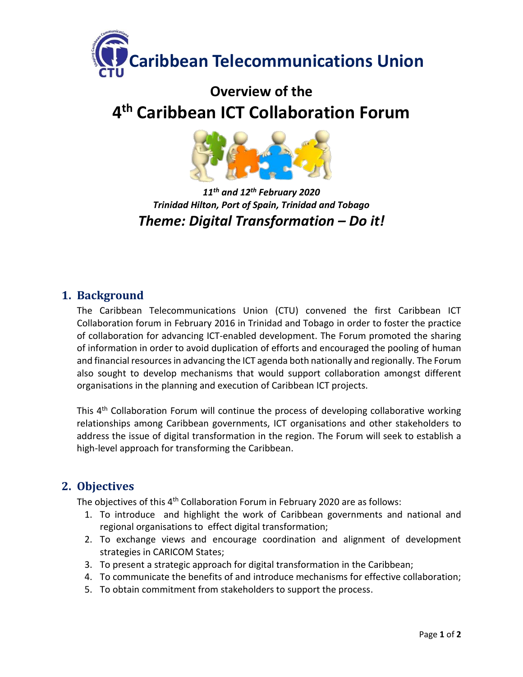

# **Overview of the 4 th Caribbean ICT Collaboration Forum**



# *11th and 12th February 2020 Trinidad Hilton, Port of Spain, Trinidad and Tobago Theme: Digital Transformation – Do it!*

# **1. Background**

The Caribbean Telecommunications Union (CTU) convened the first Caribbean ICT Collaboration forum in February 2016 in Trinidad and Tobago in order to foster the practice of collaboration for advancing ICT-enabled development. The Forum promoted the sharing of information in order to avoid duplication of efforts and encouraged the pooling of human and financial resources in advancing the ICT agenda both nationally and regionally. The Forum also sought to develop mechanisms that would support collaboration amongst different organisations in the planning and execution of Caribbean ICT projects.

This 4<sup>th</sup> Collaboration Forum will continue the process of developing collaborative working relationships among Caribbean governments, ICT organisations and other stakeholders to address the issue of digital transformation in the region. The Forum will seek to establish a high-level approach for transforming the Caribbean.

# **2. Objectives**

The objectives of this 4<sup>th</sup> Collaboration Forum in February 2020 are as follows:

- 1. To introduce and highlight the work of Caribbean governments and national and regional organisations to effect digital transformation;
- 2. To exchange views and encourage coordination and alignment of development strategies in CARICOM States;
- 3. To present a strategic approach for digital transformation in the Caribbean;
- 4. To communicate the benefits of and introduce mechanisms for effective collaboration;
- 5. To obtain commitment from stakeholders to support the process.